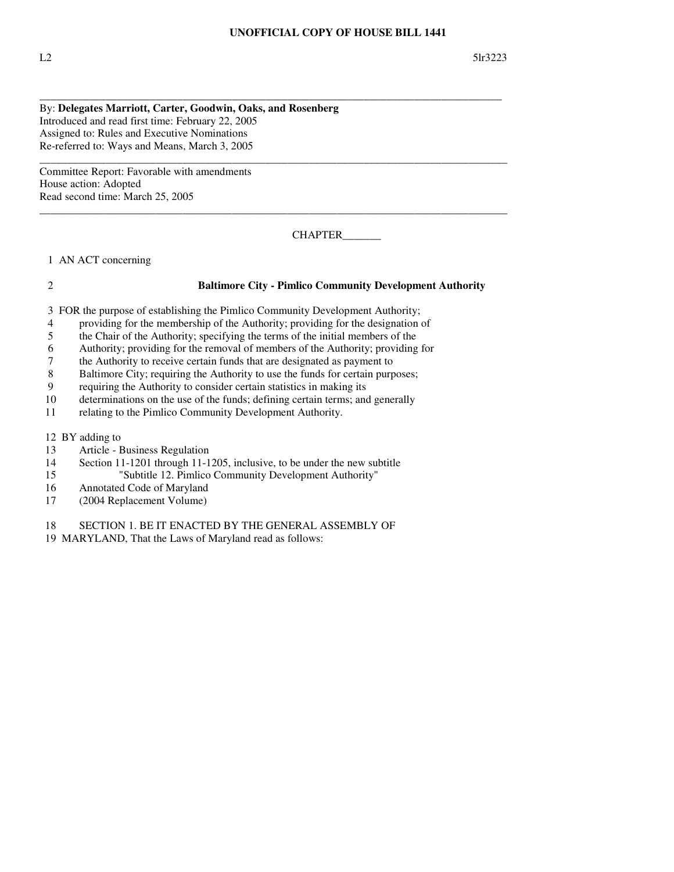## **UNOFFICIAL COPY OF HOUSE BILL 1441**

\_\_\_\_\_\_\_\_\_\_\_\_\_\_\_\_\_\_\_\_\_\_\_\_\_\_\_\_\_\_\_\_\_\_\_\_\_\_\_\_\_\_\_\_\_\_\_\_\_\_\_\_\_\_\_\_\_\_\_\_\_\_\_\_\_\_\_\_\_\_\_\_\_\_\_\_\_\_\_\_\_\_\_\_

\_\_\_\_\_\_\_\_\_\_\_\_\_\_\_\_\_\_\_\_\_\_\_\_\_\_\_\_\_\_\_\_\_\_\_\_\_\_\_\_\_\_\_\_\_\_\_\_\_\_\_\_\_\_\_\_\_\_\_\_\_\_\_\_\_\_\_\_\_\_\_\_\_\_\_\_\_\_\_\_\_\_\_\_\_

\_\_\_\_\_\_\_\_\_\_\_\_\_\_\_\_\_\_\_\_\_\_\_\_\_\_\_\_\_\_\_\_\_\_\_\_\_\_\_\_\_\_\_\_\_\_\_\_\_\_\_\_\_\_\_\_\_\_\_\_\_\_\_\_\_\_\_\_\_\_\_\_\_\_\_\_\_\_\_\_\_\_\_\_\_

L2  $5\text{lr}3223$ 

## By: **Delegates Marriott, Carter, Goodwin, Oaks, and Rosenberg** Introduced and read first time: February 22, 2005 Assigned to: Rules and Executive Nominations Re-referred to: Ways and Means, March 3, 2005

Committee Report: Favorable with amendments House action: Adopted Read second time: March 25, 2005

CHAPTER\_\_\_\_\_\_\_

1 AN ACT concerning

## 2 **Baltimore City - Pimlico Community Development Authority**

3 FOR the purpose of establishing the Pimlico Community Development Authority;

- 4 providing for the membership of the Authority; providing for the designation of the Chair of the Authority; specifying the terms of the initial members of the
- 5 the Chair of the Authority; specifying the terms of the initial members of the
- 6 Authority; providing for the removal of members of the Authority; providing for
- 7 the Authority to receive certain funds that are designated as payment to
- 8 Baltimore City; requiring the Authority to use the funds for certain purposes;
- 9 requiring the Authority to consider certain statistics in making its
- 10 determinations on the use of the funds; defining certain terms; and generally
- 11 relating to the Pimlico Community Development Authority.

12 BY adding to

- 13 Article Business Regulation
- 14 Section 11-1201 through 11-1205, inclusive, to be under the new subtitle
- 15 "Subtitle 12. Pimlico Community Development Authority"
- 16 Annotated Code of Maryland
- 17 (2004 Replacement Volume)
- 18 SECTION 1. BE IT ENACTED BY THE GENERAL ASSEMBLY OF
- 19 MARYLAND, That the Laws of Maryland read as follows: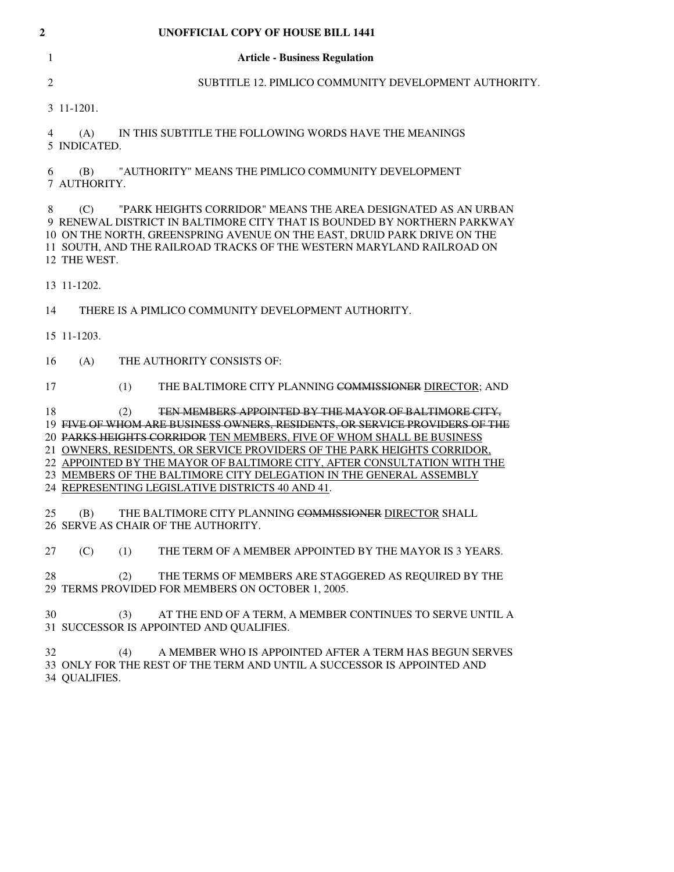| 2                           | UNOFFICIAL COPY OF HOUSE BILL 1441                                                                                                                                                                                                                                                                               |
|-----------------------------|------------------------------------------------------------------------------------------------------------------------------------------------------------------------------------------------------------------------------------------------------------------------------------------------------------------|
|                             | <b>Article - Business Regulation</b>                                                                                                                                                                                                                                                                             |
| $\mathcal{D}_{\mathcal{L}}$ | SUBTITLE 12. PIMLICO COMMUNITY DEVELOPMENT AUTHORITY.                                                                                                                                                                                                                                                            |
|                             | 3 11-1201.                                                                                                                                                                                                                                                                                                       |
|                             | IN THIS SUBTITLE THE FOLLOWING WORDS HAVE THE MEANINGS<br>(A)<br>5 INDICATED.                                                                                                                                                                                                                                    |
| 6                           | "AUTHORITY" MEANS THE PIMLICO COMMUNITY DEVELOPMENT<br>(B)<br>7 AUTHORITY.                                                                                                                                                                                                                                       |
| 8<br>10                     | "PARK HEIGHTS CORRIDOR" MEANS THE AREA DESIGNATED AS AN URBAN<br>(C)<br>RENEWAL DISTRICT IN BALTIMORE CITY THAT IS BOUNDED BY NORTHERN PARKWAY<br>ON THE NORTH, GREENSPRING AVENUE ON THE EAST, DRUID PARK DRIVE ON THE<br>11 SOUTH, AND THE RAILROAD TRACKS OF THE WESTERN MARYLAND RAILROAD ON<br>12 THE WEST. |
|                             | 13 11-1202.                                                                                                                                                                                                                                                                                                      |

THERE IS A PIMLICO COMMUNITY DEVELOPMENT AUTHORITY.

11-1203.

(A) THE AUTHORITY CONSISTS OF:

17 (1) THE BALTIMORE CITY PLANNING COMMISSIONER DIRECTOR; AND

18 (2) TEN MEMBERS APPOINTED BY THE MAYOR OF BALTIMORE CITY, FIVE OF WHOM ARE BUSINESS OWNERS, RESIDENTS, OR SERVICE PROVIDERS OF THE PARKS HEIGHTS CORRIDOR TEN MEMBERS, FIVE OF WHOM SHALL BE BUSINESS OWNERS, RESIDENTS, OR SERVICE PROVIDERS OF THE PARK HEIGHTS CORRIDOR, 22 APPOINTED BY THE MAYOR OF BALTIMORE CITY, AFTER CONSULTATION WITH THE MEMBERS OF THE BALTIMORE CITY DELEGATION IN THE GENERAL ASSEMBLY REPRESENTING LEGISLATIVE DISTRICTS 40 AND 41.

 (B) THE BALTIMORE CITY PLANNING COMMISSIONER DIRECTOR SHALL SERVE AS CHAIR OF THE AUTHORITY.

(C) (1) THE TERM OF A MEMBER APPOINTED BY THE MAYOR IS 3 YEARS.

 (2) THE TERMS OF MEMBERS ARE STAGGERED AS REQUIRED BY THE TERMS PROVIDED FOR MEMBERS ON OCTOBER 1, 2005.

 (3) AT THE END OF A TERM, A MEMBER CONTINUES TO SERVE UNTIL A SUCCESSOR IS APPOINTED AND QUALIFIES.

 (4) A MEMBER WHO IS APPOINTED AFTER A TERM HAS BEGUN SERVES ONLY FOR THE REST OF THE TERM AND UNTIL A SUCCESSOR IS APPOINTED AND QUALIFIES.